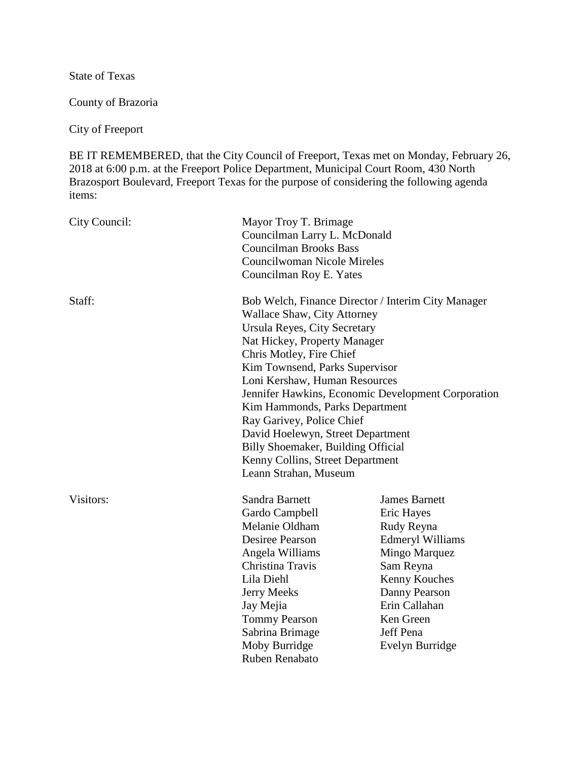State of Texas

County of Brazoria

City of Freeport

BE IT REMEMBERED, that the City Council of Freeport, Texas met on Monday, February 26, 2018 at 6:00 p.m. at the Freeport Police Department, Municipal Court Room, 430 North Brazosport Boulevard, Freeport Texas for the purpose of considering the following agenda items:

| City Council: | Mayor Troy T. Brimage<br>Councilman Larry L. McDonald<br><b>Councilman Brooks Bass</b><br><b>Councilwoman Nicole Mireles</b><br>Councilman Roy E. Yates                                                                                                                                                                                                                                                                                                                                                              |                                                                                                                                                                                                                  |
|---------------|----------------------------------------------------------------------------------------------------------------------------------------------------------------------------------------------------------------------------------------------------------------------------------------------------------------------------------------------------------------------------------------------------------------------------------------------------------------------------------------------------------------------|------------------------------------------------------------------------------------------------------------------------------------------------------------------------------------------------------------------|
| Staff:        | Bob Welch, Finance Director / Interim City Manager<br><b>Wallace Shaw, City Attorney</b><br>Ursula Reyes, City Secretary<br>Nat Hickey, Property Manager<br>Chris Motley, Fire Chief<br>Kim Townsend, Parks Supervisor<br>Loni Kershaw, Human Resources<br>Jennifer Hawkins, Economic Development Corporation<br>Kim Hammonds, Parks Department<br>Ray Garivey, Police Chief<br>David Hoelewyn, Street Department<br>Billy Shoemaker, Building Official<br>Kenny Collins, Street Department<br>Leann Strahan, Museum |                                                                                                                                                                                                                  |
| Visitors:     | Sandra Barnett<br>Gardo Campbell<br>Melanie Oldham<br>Desiree Pearson<br>Angela Williams<br>Christina Travis<br>Lila Diehl<br><b>Jerry Meeks</b><br>Jay Mejia<br>Tommy Pearson<br>Sabrina Brimage<br>Moby Burridge<br>Ruben Renabato                                                                                                                                                                                                                                                                                 | <b>James Barnett</b><br>Eric Hayes<br>Rudy Reyna<br><b>Edmeryl Williams</b><br><b>Mingo Marquez</b><br>Sam Reyna<br>Kenny Kouches<br>Danny Pearson<br>Erin Callahan<br>Ken Green<br>Jeff Pena<br>Evelyn Burridge |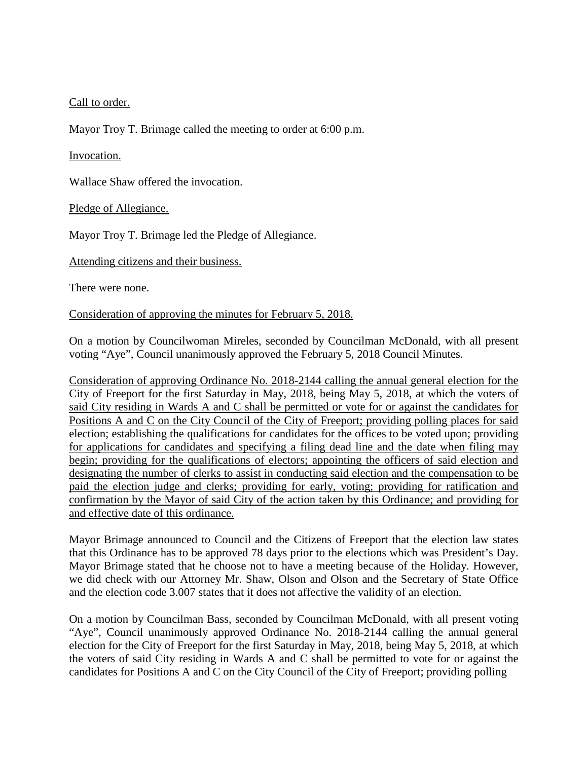# Call to order.

Mayor Troy T. Brimage called the meeting to order at 6:00 p.m.

## Invocation.

Wallace Shaw offered the invocation.

Pledge of Allegiance.

Mayor Troy T. Brimage led the Pledge of Allegiance.

Attending citizens and their business.

There were none.

## Consideration of approving the minutes for February 5, 2018.

On a motion by Councilwoman Mireles, seconded by Councilman McDonald, with all present voting "Aye", Council unanimously approved the February 5, 2018 Council Minutes.

Consideration of approving Ordinance No. 2018-2144 calling the annual general election for the City of Freeport for the first Saturday in May, 2018, being May 5, 2018, at which the voters of said City residing in Wards A and C shall be permitted or vote for or against the candidates for Positions A and C on the City Council of the City of Freeport; providing polling places for said election; establishing the qualifications for candidates for the offices to be voted upon; providing for applications for candidates and specifying a filing dead line and the date when filing may begin; providing for the qualifications of electors; appointing the officers of said election and designating the number of clerks to assist in conducting said election and the compensation to be paid the election judge and clerks; providing for early, voting; providing for ratification and confirmation by the Mayor of said City of the action taken by this Ordinance; and providing for and effective date of this ordinance.

Mayor Brimage announced to Council and the Citizens of Freeport that the election law states that this Ordinance has to be approved 78 days prior to the elections which was President's Day. Mayor Brimage stated that he choose not to have a meeting because of the Holiday. However, we did check with our Attorney Mr. Shaw, Olson and Olson and the Secretary of State Office and the election code 3.007 states that it does not affective the validity of an election.

On a motion by Councilman Bass, seconded by Councilman McDonald, with all present voting "Aye", Council unanimously approved Ordinance No. 2018-2144 calling the annual general election for the City of Freeport for the first Saturday in May, 2018, being May 5, 2018, at which the voters of said City residing in Wards A and C shall be permitted to vote for or against the candidates for Positions A and C on the City Council of the City of Freeport; providing polling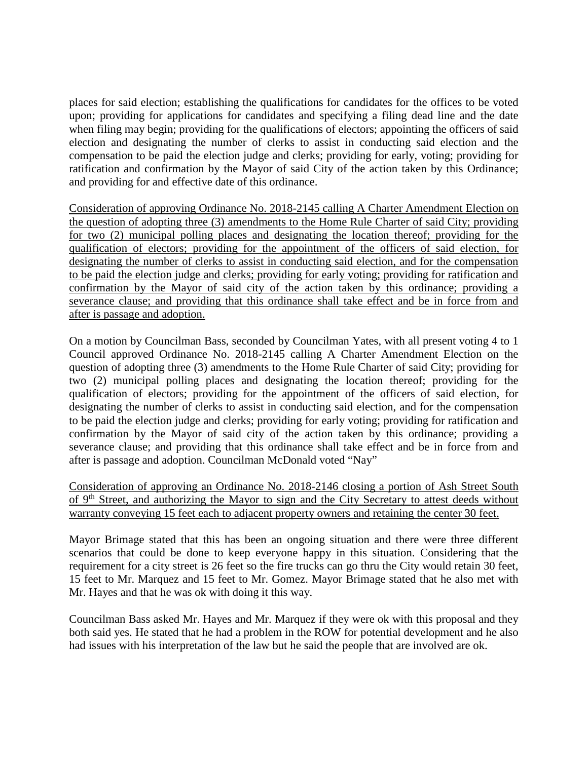places for said election; establishing the qualifications for candidates for the offices to be voted upon; providing for applications for candidates and specifying a filing dead line and the date when filing may begin; providing for the qualifications of electors; appointing the officers of said election and designating the number of clerks to assist in conducting said election and the compensation to be paid the election judge and clerks; providing for early, voting; providing for ratification and confirmation by the Mayor of said City of the action taken by this Ordinance; and providing for and effective date of this ordinance.

Consideration of approving Ordinance No. 2018-2145 calling A Charter Amendment Election on the question of adopting three (3) amendments to the Home Rule Charter of said City; providing for two (2) municipal polling places and designating the location thereof; providing for the qualification of electors; providing for the appointment of the officers of said election, for designating the number of clerks to assist in conducting said election, and for the compensation to be paid the election judge and clerks; providing for early voting; providing for ratification and confirmation by the Mayor of said city of the action taken by this ordinance; providing a severance clause; and providing that this ordinance shall take effect and be in force from and after is passage and adoption.

On a motion by Councilman Bass, seconded by Councilman Yates, with all present voting 4 to 1 Council approved Ordinance No. 2018-2145 calling A Charter Amendment Election on the question of adopting three (3) amendments to the Home Rule Charter of said City; providing for two (2) municipal polling places and designating the location thereof; providing for the qualification of electors; providing for the appointment of the officers of said election, for designating the number of clerks to assist in conducting said election, and for the compensation to be paid the election judge and clerks; providing for early voting; providing for ratification and confirmation by the Mayor of said city of the action taken by this ordinance; providing a severance clause; and providing that this ordinance shall take effect and be in force from and after is passage and adoption. Councilman McDonald voted "Nay"

Consideration of approving an Ordinance No. 2018-2146 closing a portion of Ash Street South of 9th Street, and authorizing the Mayor to sign and the City Secretary to attest deeds without warranty conveying 15 feet each to adjacent property owners and retaining the center 30 feet.

Mayor Brimage stated that this has been an ongoing situation and there were three different scenarios that could be done to keep everyone happy in this situation. Considering that the requirement for a city street is 26 feet so the fire trucks can go thru the City would retain 30 feet, 15 feet to Mr. Marquez and 15 feet to Mr. Gomez. Mayor Brimage stated that he also met with Mr. Hayes and that he was ok with doing it this way.

Councilman Bass asked Mr. Hayes and Mr. Marquez if they were ok with this proposal and they both said yes. He stated that he had a problem in the ROW for potential development and he also had issues with his interpretation of the law but he said the people that are involved are ok.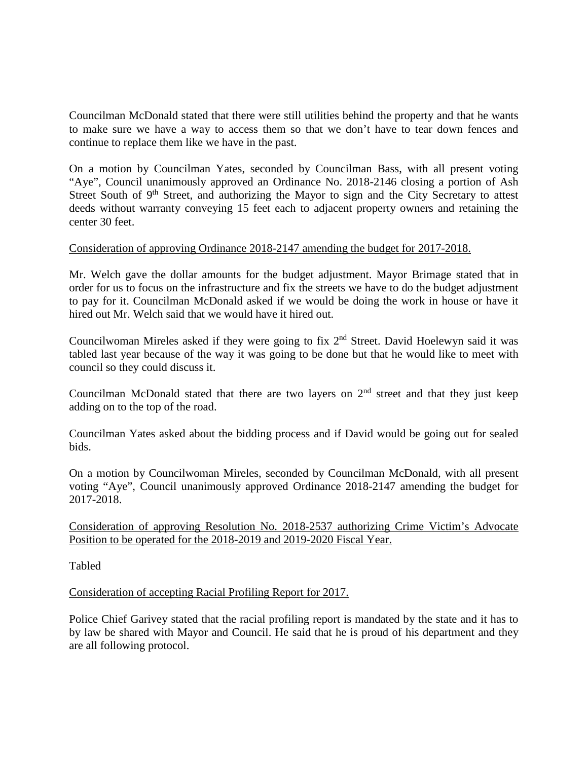Councilman McDonald stated that there were still utilities behind the property and that he wants to make sure we have a way to access them so that we don't have to tear down fences and continue to replace them like we have in the past.

On a motion by Councilman Yates, seconded by Councilman Bass, with all present voting "Aye", Council unanimously approved an Ordinance No. 2018-2146 closing a portion of Ash Street South of 9<sup>th</sup> Street, and authorizing the Mayor to sign and the City Secretary to attest deeds without warranty conveying 15 feet each to adjacent property owners and retaining the center 30 feet.

# Consideration of approving Ordinance 2018-2147 amending the budget for 2017-2018.

Mr. Welch gave the dollar amounts for the budget adjustment. Mayor Brimage stated that in order for us to focus on the infrastructure and fix the streets we have to do the budget adjustment to pay for it. Councilman McDonald asked if we would be doing the work in house or have it hired out Mr. Welch said that we would have it hired out.

Councilwoman Mireles asked if they were going to fix 2nd Street. David Hoelewyn said it was tabled last year because of the way it was going to be done but that he would like to meet with council so they could discuss it.

Councilman McDonald stated that there are two layers on  $2<sup>nd</sup>$  street and that they just keep adding on to the top of the road.

Councilman Yates asked about the bidding process and if David would be going out for sealed bids.

On a motion by Councilwoman Mireles, seconded by Councilman McDonald, with all present voting "Aye", Council unanimously approved Ordinance 2018-2147 amending the budget for 2017-2018.

Consideration of approving Resolution No. 2018-2537 authorizing Crime Victim's Advocate Position to be operated for the 2018-2019 and 2019-2020 Fiscal Year.

Tabled

## Consideration of accepting Racial Profiling Report for 2017.

Police Chief Garivey stated that the racial profiling report is mandated by the state and it has to by law be shared with Mayor and Council. He said that he is proud of his department and they are all following protocol.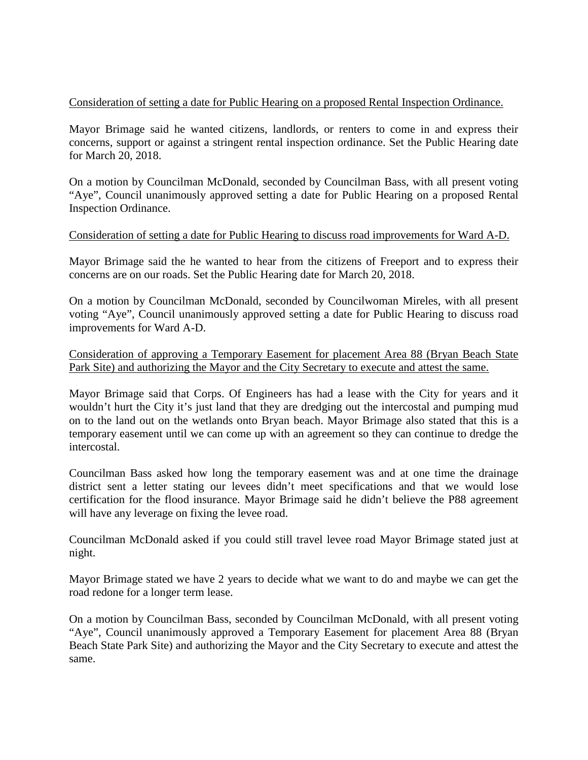## Consideration of setting a date for Public Hearing on a proposed Rental Inspection Ordinance.

Mayor Brimage said he wanted citizens, landlords, or renters to come in and express their concerns, support or against a stringent rental inspection ordinance. Set the Public Hearing date for March 20, 2018.

On a motion by Councilman McDonald, seconded by Councilman Bass, with all present voting "Aye", Council unanimously approved setting a date for Public Hearing on a proposed Rental Inspection Ordinance.

## Consideration of setting a date for Public Hearing to discuss road improvements for Ward A-D.

Mayor Brimage said the he wanted to hear from the citizens of Freeport and to express their concerns are on our roads. Set the Public Hearing date for March 20, 2018.

On a motion by Councilman McDonald, seconded by Councilwoman Mireles, with all present voting "Aye", Council unanimously approved setting a date for Public Hearing to discuss road improvements for Ward A-D.

Consideration of approving a Temporary Easement for placement Area 88 (Bryan Beach State Park Site) and authorizing the Mayor and the City Secretary to execute and attest the same.

Mayor Brimage said that Corps. Of Engineers has had a lease with the City for years and it wouldn't hurt the City it's just land that they are dredging out the intercostal and pumping mud on to the land out on the wetlands onto Bryan beach. Mayor Brimage also stated that this is a temporary easement until we can come up with an agreement so they can continue to dredge the intercostal.

Councilman Bass asked how long the temporary easement was and at one time the drainage district sent a letter stating our levees didn't meet specifications and that we would lose certification for the flood insurance. Mayor Brimage said he didn't believe the P88 agreement will have any leverage on fixing the levee road.

Councilman McDonald asked if you could still travel levee road Mayor Brimage stated just at night.

Mayor Brimage stated we have 2 years to decide what we want to do and maybe we can get the road redone for a longer term lease.

On a motion by Councilman Bass, seconded by Councilman McDonald, with all present voting "Aye", Council unanimously approved a Temporary Easement for placement Area 88 (Bryan Beach State Park Site) and authorizing the Mayor and the City Secretary to execute and attest the same.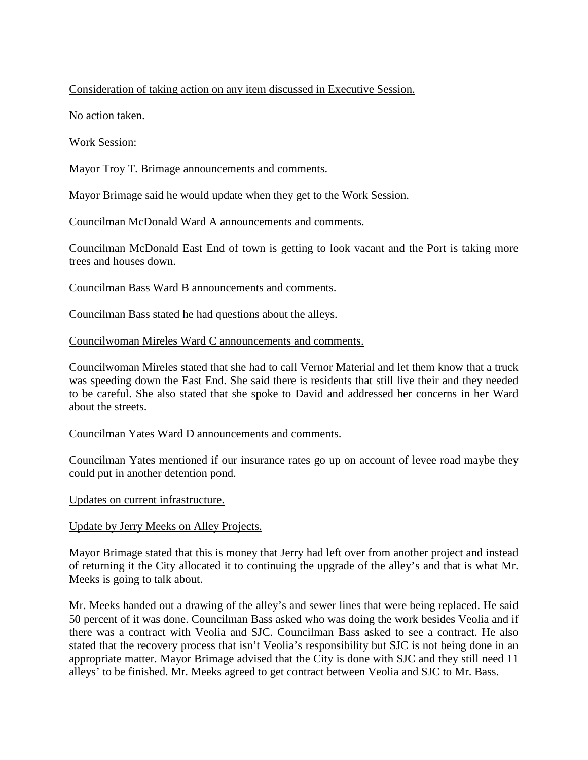# Consideration of taking action on any item discussed in Executive Session.

No action taken.

Work Session:

Mayor Troy T. Brimage announcements and comments.

Mayor Brimage said he would update when they get to the Work Session.

Councilman McDonald Ward A announcements and comments.

Councilman McDonald East End of town is getting to look vacant and the Port is taking more trees and houses down.

Councilman Bass Ward B announcements and comments.

Councilman Bass stated he had questions about the alleys.

### Councilwoman Mireles Ward C announcements and comments.

Councilwoman Mireles stated that she had to call Vernor Material and let them know that a truck was speeding down the East End. She said there is residents that still live their and they needed to be careful. She also stated that she spoke to David and addressed her concerns in her Ward about the streets.

#### Councilman Yates Ward D announcements and comments.

Councilman Yates mentioned if our insurance rates go up on account of levee road maybe they could put in another detention pond.

Updates on current infrastructure.

## Update by Jerry Meeks on Alley Projects.

Mayor Brimage stated that this is money that Jerry had left over from another project and instead of returning it the City allocated it to continuing the upgrade of the alley's and that is what Mr. Meeks is going to talk about.

Mr. Meeks handed out a drawing of the alley's and sewer lines that were being replaced. He said 50 percent of it was done. Councilman Bass asked who was doing the work besides Veolia and if there was a contract with Veolia and SJC. Councilman Bass asked to see a contract. He also stated that the recovery process that isn't Veolia's responsibility but SJC is not being done in an appropriate matter. Mayor Brimage advised that the City is done with SJC and they still need 11 alleys' to be finished. Mr. Meeks agreed to get contract between Veolia and SJC to Mr. Bass.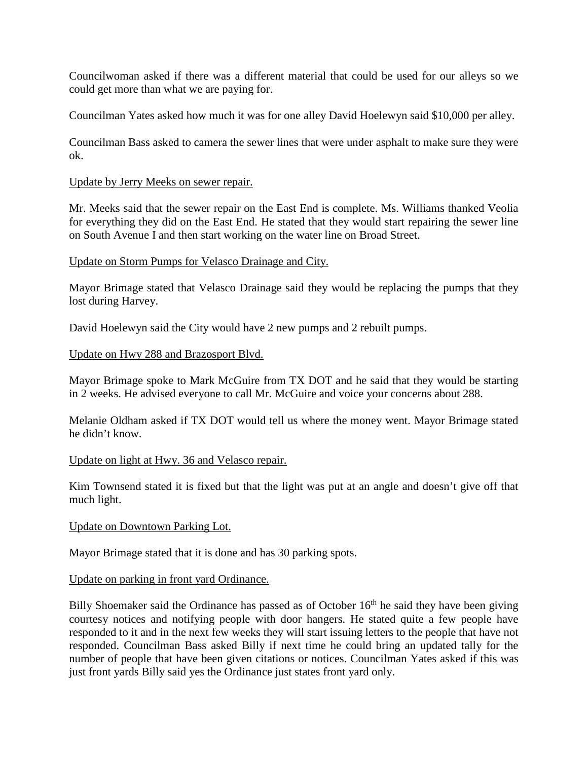Councilwoman asked if there was a different material that could be used for our alleys so we could get more than what we are paying for.

Councilman Yates asked how much it was for one alley David Hoelewyn said \$10,000 per alley.

Councilman Bass asked to camera the sewer lines that were under asphalt to make sure they were ok.

## Update by Jerry Meeks on sewer repair.

Mr. Meeks said that the sewer repair on the East End is complete. Ms. Williams thanked Veolia for everything they did on the East End. He stated that they would start repairing the sewer line on South Avenue I and then start working on the water line on Broad Street.

### Update on Storm Pumps for Velasco Drainage and City.

Mayor Brimage stated that Velasco Drainage said they would be replacing the pumps that they lost during Harvey.

David Hoelewyn said the City would have 2 new pumps and 2 rebuilt pumps.

### Update on Hwy 288 and Brazosport Blvd.

Mayor Brimage spoke to Mark McGuire from TX DOT and he said that they would be starting in 2 weeks. He advised everyone to call Mr. McGuire and voice your concerns about 288.

Melanie Oldham asked if TX DOT would tell us where the money went. Mayor Brimage stated he didn't know.

#### Update on light at Hwy. 36 and Velasco repair.

Kim Townsend stated it is fixed but that the light was put at an angle and doesn't give off that much light.

#### Update on Downtown Parking Lot.

Mayor Brimage stated that it is done and has 30 parking spots.

#### Update on parking in front yard Ordinance.

Billy Shoemaker said the Ordinance has passed as of October  $16<sup>th</sup>$  he said they have been giving courtesy notices and notifying people with door hangers. He stated quite a few people have responded to it and in the next few weeks they will start issuing letters to the people that have not responded. Councilman Bass asked Billy if next time he could bring an updated tally for the number of people that have been given citations or notices. Councilman Yates asked if this was just front yards Billy said yes the Ordinance just states front yard only.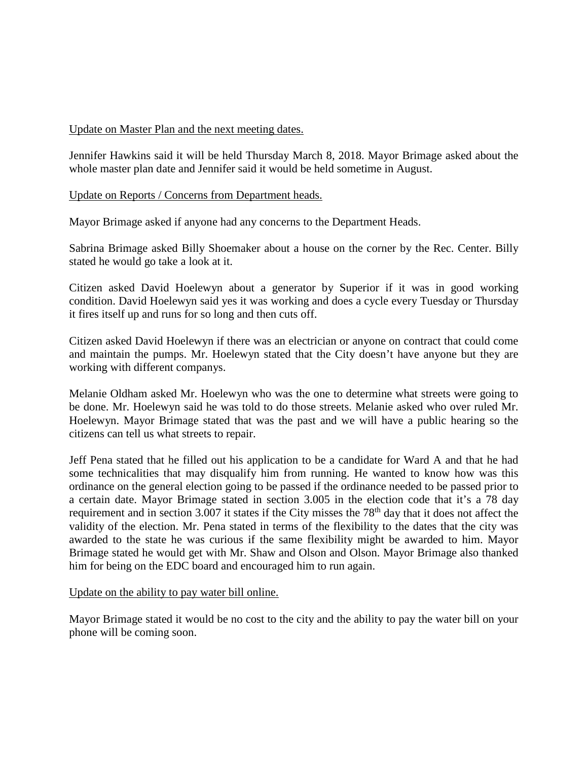## Update on Master Plan and the next meeting dates.

Jennifer Hawkins said it will be held Thursday March 8, 2018. Mayor Brimage asked about the whole master plan date and Jennifer said it would be held sometime in August.

## Update on Reports / Concerns from Department heads.

Mayor Brimage asked if anyone had any concerns to the Department Heads.

Sabrina Brimage asked Billy Shoemaker about a house on the corner by the Rec. Center. Billy stated he would go take a look at it.

Citizen asked David Hoelewyn about a generator by Superior if it was in good working condition. David Hoelewyn said yes it was working and does a cycle every Tuesday or Thursday it fires itself up and runs for so long and then cuts off.

Citizen asked David Hoelewyn if there was an electrician or anyone on contract that could come and maintain the pumps. Mr. Hoelewyn stated that the City doesn't have anyone but they are working with different companys.

Melanie Oldham asked Mr. Hoelewyn who was the one to determine what streets were going to be done. Mr. Hoelewyn said he was told to do those streets. Melanie asked who over ruled Mr. Hoelewyn. Mayor Brimage stated that was the past and we will have a public hearing so the citizens can tell us what streets to repair.

Jeff Pena stated that he filled out his application to be a candidate for Ward A and that he had some technicalities that may disqualify him from running. He wanted to know how was this ordinance on the general election going to be passed if the ordinance needed to be passed prior to a certain date. Mayor Brimage stated in section 3.005 in the election code that it's a 78 day requirement and in section 3.007 it states if the City misses the 78<sup>th</sup> day that it does not affect the validity of the election. Mr. Pena stated in terms of the flexibility to the dates that the city was awarded to the state he was curious if the same flexibility might be awarded to him. Mayor Brimage stated he would get with Mr. Shaw and Olson and Olson. Mayor Brimage also thanked him for being on the EDC board and encouraged him to run again.

#### Update on the ability to pay water bill online.

Mayor Brimage stated it would be no cost to the city and the ability to pay the water bill on your phone will be coming soon.